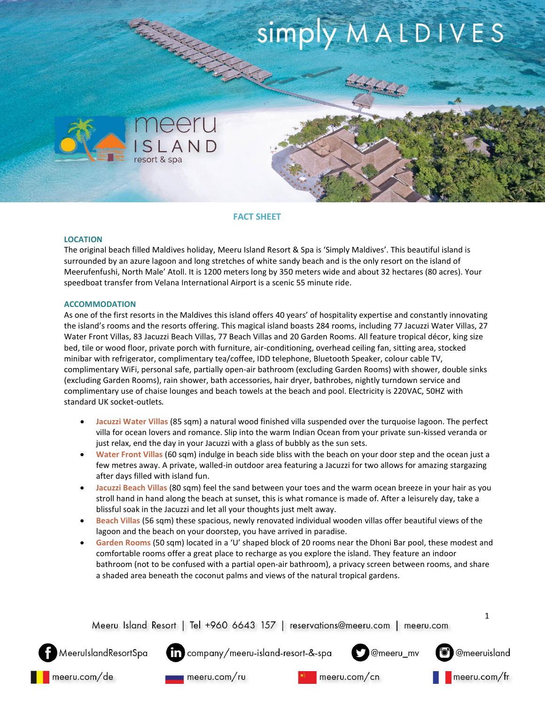# **REACTION STATES** simply MALDIVES



# **FACT SHEET**

### **LOCATION**

The original beach filled Maldives holiday, Meeru Island Resort & Spa is 'Simply Maldives'. This beautiful island is surrounded by an azure lagoon and long stretches of white sandy beach and is the only resort on the island of Meerufenfushi, North Male' Atoll. It is 1200 meters long by 350 meters wide and about 32 hectares (80 acres). Your speedboat transfer from Velana International Airport is a scenic 55 minute ride.

# **ACCOMMODATION**

As one of the first resorts in the Maldives this island offers 40 years' of hospitality expertise and constantly innovating the island's rooms and the resorts offering. This magical island boasts 284 rooms, including 77 Jacuzzi Water Villas, 27 Water Front Villas, 83 Jacuzzi Beach Villas, 77 Beach Villas and 20 Garden Rooms. All feature tropical décor, king size bed, tile or wood floor, private porch with furniture, air-conditioning, overhead ceiling fan, sitting area, stocked minibar with refrigerator, complimentary tea/coffee, IDD telephone, Bluetooth Speaker, colour cable TV, complimentary WiFi, personal safe, partially open-air bathroom (excluding Garden Rooms) with shower, double sinks (excluding Garden Rooms), rain shower, bath accessories, hair dryer, bathrobes, nightly turndown service and complimentary use of chaise lounges and beach towels at the beach and pool. Electricity is 220VAC, 50HZ with standard UK socket-outlets.

- **Jacuzzi Water Villas** (85 sqm) a natural wood finished villa suspended over the turquoise lagoon. The perfect villa for ocean lovers and romance. Slip into the warm Indian Ocean from your private sun-kissed veranda or just relax, end the day in your Jacuzzi with a glass of bubbly as the sun sets.
- **Water Front Villas** (60 sqm) indulge in beach side bliss with the beach on your door step and the ocean just a few metres away. A private, walled-in outdoor area featuring a Jacuzzi for two allows for amazing stargazing after days filled with island fun.
- **Jacuzzi Beach Villas** (80 sqm) feel the sand between your toes and the warm ocean breeze in your hair as you stroll hand in hand along the beach at sunset, this is what romance is made of. After a leisurely day, take a blissful soak in the Jacuzzi and let all your thoughts just melt away.
- **Beach Villas** (56 sqm) these spacious, newly renovated individual wooden villas offer beautiful views of the lagoon and the beach on your doorstep, you have arrived in paradise.
- **Garden Rooms** (50 sqm) located in a 'U' shaped block of 20 rooms near the Dhoni Bar pool, these modest and comfortable rooms offer a great place to recharge as you explore the island. They feature an indoor bathroom (not to be confused with a partial open-air bathroom), a privacy screen between rooms, and share a shaded area beneath the coconut palms and views of the natural tropical gardens.







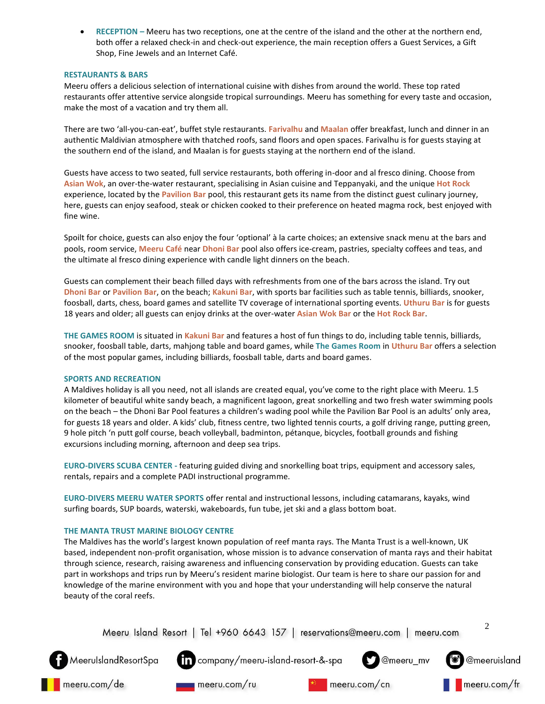**RECEPTION –** Meeru has two receptions, one at the centre of the island and the other at the northern end, both offer a relaxed check-in and check-out experience, the main reception offers a Guest Services, a Gift Shop, Fine Jewels and an Internet Café.

# **RESTAURANTS & BARS**

Meeru offers a delicious selection of international cuisine with dishes from around the world. These top rated restaurants offer attentive service alongside tropical surroundings. Meeru has something for every taste and occasion, make the most of a vacation and try them all.

There are two 'all-you-can-eat', buffet style restaurants. **Farivalhu** and **Maalan** offer breakfast, lunch and dinner in an authentic Maldivian atmosphere with thatched roofs, sand floors and open spaces. Farivalhu is for guests staying at the southern end of the island, and Maalan is for guests staying at the northern end of the island.

Guests have access to two seated, full service restaurants, both offering in-door and al fresco dining. Choose from **Asian Wok**, an over-the-water restaurant, specialising in Asian cuisine and Teppanyaki, and the unique **Hot Rock** experience, located by the **Pavilion Bar** pool, this restaurant gets its name from the distinct guest culinary journey, here, guests can enjoy seafood, steak or chicken cooked to their preference on heated magma rock, best enjoyed with fine wine.

Spoilt for choice, guests can also enjoy the four 'optional' à la carte choices; an extensive snack menu at the bars and pools, room service, **Meeru Café** near **Dhoni Bar** pool also offers ice-cream, pastries, specialty coffees and teas, and the ultimate al fresco dining experience with candle light dinners on the beach.

Guests can complement their beach filled days with refreshments from one of the bars across the island. Try out **Dhoni Bar** or **Pavilion Bar**, on the beach; **Kakuni Bar**, with sports bar facilities such as table tennis, billiards, snooker, foosball, darts, chess, board games and satellite TV coverage of international sporting events. **Uthuru Bar** is for guests 18 years and older; all guests can enjoy drinks at the over-water **Asian Wok Bar** or the **Hot Rock Bar**.

**THE GAMES ROOM** is situated in **Kakuni Bar** and features a host of fun things to do, including table tennis, billiards, snooker, foosball table, darts, mahjong table and board games, while **The Games Room** in **Uthuru Bar** offers a selection of the most popular games, including billiards, foosball table, darts and board games.

### **SPORTS AND RECREATION**

A Maldives holiday is all you need, not all islands are created equal, you've come to the right place with Meeru. 1.5 kilometer of beautiful white sandy beach, a magnificent lagoon, great snorkelling and two fresh water swimming pools on the beach – the Dhoni Bar Pool features a children's wading pool while the Pavilion Bar Pool is an adults' only area, for guests 18 years and older. A kids' club, fitness centre, two lighted tennis courts, a golf driving range, putting green, 9 hole pitch 'n putt golf course, beach volleyball, badminton, pétanque, bicycles, football grounds and fishing excursions including morning, afternoon and deep sea trips.

**EURO-DIVERS SCUBA CENTER -** featuring guided diving and snorkelling boat trips, equipment and accessory sales, rentals, repairs and a complete PADI instructional programme.

**EURO-DIVERS MEERU WATER SPORTS** offer rental and instructional lessons, including catamarans, kayaks, wind surfing boards, SUP boards, waterski, wakeboards, fun tube, jet ski and a glass bottom boat.

### **THE MANTA TRUST MARINE BIOLOGY CENTRE**

The Maldives has the world's largest known population of reef manta rays. The Manta Trust is a well-known, UK based, independent non-profit organisation, whose mission is to advance conservation of manta rays and their habitat through science, research, raising awareness and influencing conservation by providing education. Guests can take part in workshops and trips run by Meeru's resident marine biologist. Our team is here to share our passion for and knowledge of the marine environment with you and hope that your understanding will help conserve the natural beauty of the coral reefs.

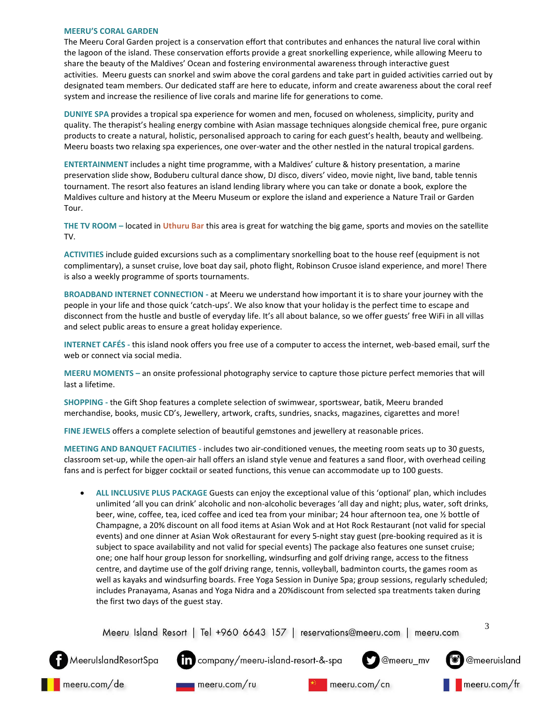#### **MEERU'S CORAL GARDEN**

MeerulslandResortSpa

meeru.com/de

The Meeru Coral Garden project is a conservation effort that contributes and enhances the natural live coral within the lagoon of the island. These conservation efforts provide a great snorkelling experience, while allowing Meeru to share the beauty of the Maldives' Ocean and fostering environmental awareness through interactive guest activities. Meeru guests can snorkel and swim above the coral gardens and take part in guided activities carried out by designated team members. Our dedicated staff are here to educate, inform and create awareness about the coral reef system and increase the resilience of live corals and marine life for generations to come.

**DUNIYE SPA** provides a tropical spa experience for women and men, focused on wholeness, simplicity, purity and quality. The therapist's healing energy combine with Asian massage techniques alongside chemical free, pure organic products to create a natural, holistic, personalised approach to caring for each guest's health, beauty and wellbeing. Meeru boasts two relaxing spa experiences, one over-water and the other nestled in the natural tropical gardens.

**ENTERTAINMENT** includes a night time programme, with a Maldives' culture & history presentation, a marine preservation slide show, Boduberu cultural dance show, DJ disco, divers' video, movie night, live band, table tennis tournament. The resort also features an island lending library where you can take or donate a book, explore the Maldives culture and history at the Meeru Museum or explore the island and experience a Nature Trail or Garden Tour.

**THE TV ROOM –** located in **Uthuru Bar** this area is great for watching the big game, sports and movies on the satellite TV.

**ACTIVITIES** include guided excursions such as a complimentary snorkelling boat to the house reef (equipment is not complimentary), a sunset cruise, love boat day sail, photo flight, Robinson Crusoe island experience, and more! There is also a weekly programme of sports tournaments.

**BROADBAND INTERNET CONNECTION -** at Meeru we understand how important it is to share your journey with the people in your life and those quick 'catch-ups'. We also know that your holiday is the perfect time to escape and disconnect from the hustle and bustle of everyday life. It's all about balance, so we offer guests' free WiFi in all villas and select public areas to ensure a great holiday experience.

**INTERNET CAFÉS -** this island nook offers you free use of a computer to access the internet, web-based email, surf the web or connect via social media.

**MEERU MOMENTS –** an onsite professional photography service to capture those picture perfect memories that will last a lifetime.

**SHOPPING -** the Gift Shop features a complete selection of swimwear, sportswear, batik, Meeru branded merchandise, books, music CD's, Jewellery, artwork, crafts, sundries, snacks, magazines, cigarettes and more!

**FINE JEWELS** offers a complete selection of beautiful gemstones and jewellery at reasonable prices.

**MEETING AND BANQUET FACILITIES -** includes two air-conditioned venues, the meeting room seats up to 30 guests, classroom set-up, while the open-air hall offers an island style venue and features a sand floor, with overhead ceiling fans and is perfect for bigger cocktail or seated functions, this venue can accommodate up to 100 guests.

 **ALL INCLUSIVE PLUS PACKAGE** Guests can enjoy the exceptional value of this 'optional' plan, which includes unlimited 'all you can drink' alcoholic and non-alcoholic beverages 'all day and night; plus, water, soft drinks, beer, wine, coffee, tea, iced coffee and iced tea from your minibar; 24 hour afternoon tea, one ½ bottle of Champagne, a 20% discount on all food items at Asian Wok and at Hot Rock Restaurant (not valid for special events) and one dinner at Asian Wok oRestaurant for every 5-night stay guest (pre-booking required as it is subject to space availability and not valid for special events) The package also features one sunset cruise; one; one half hour group lesson for snorkelling, windsurfing and golf driving range, access to the fitness centre, and daytime use of the golf driving range, tennis, volleyball, badminton courts, the games room as well as kayaks and windsurfing boards. Free Yoga Session in Duniye Spa; group sessions, regularly scheduled; includes Pranayama, Asanas and Yoga Nidra and a 20%discount from selected spa treatments taken during the first two days of the guest stay.



company/meeru-island-resort-&-spa

meeru.com/ru

3

@meeruisland

 $\blacksquare$  meeru.com/fr

@meeru\_mv

meeru.com/cn